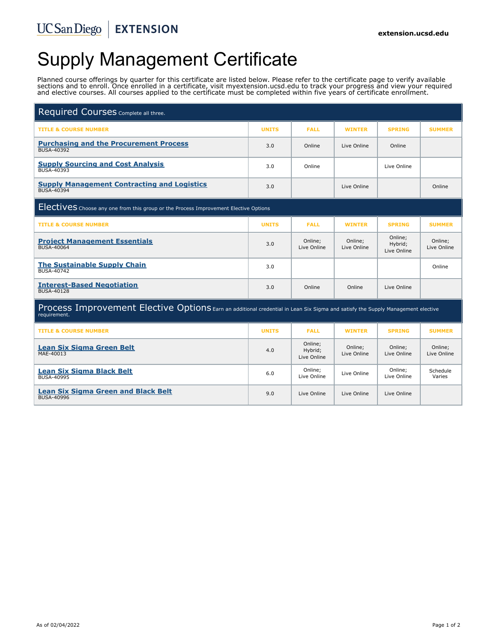# Supply Management Certificate

Planned course offerings by quarter for this certificate are listed below. Please refer to the certificate page to verify available sections and to enroll. Once enrolled in a certificate, visit myextension.ucsd.edu to track your progress and view your required and elective courses. All courses applied to the certificate must be completed within five years of certificate enrollment.

| Required Courses Complete all three.                                                                                                            |              |                                   |                        |                                   |                        |
|-------------------------------------------------------------------------------------------------------------------------------------------------|--------------|-----------------------------------|------------------------|-----------------------------------|------------------------|
| <b>TITLE &amp; COURSE NUMBER</b>                                                                                                                | <b>UNITS</b> | <b>FALL</b>                       | <b>WINTER</b>          | <b>SPRING</b>                     | <b>SUMMER</b>          |
| <b>Purchasing and the Procurement Process</b><br><b>BUSA-40392</b>                                                                              | 3.0          | Online                            | Live Online            | Online                            |                        |
| <b>Supply Sourcing and Cost Analysis</b><br>BUSA-40393                                                                                          | 3.0          | Online                            |                        | Live Online                       |                        |
| <b>Supply Management Contracting and Logistics</b><br><b>BUSA-40394</b>                                                                         | 3.0          |                                   | Live Online            |                                   | Online                 |
| <b>ElectiveS</b> Choose any one from this group or the Process Improvement Elective Options                                                     |              |                                   |                        |                                   |                        |
| <b>TITLE &amp; COURSE NUMBER</b>                                                                                                                | <b>UNITS</b> | <b>FALL</b>                       | <b>WINTER</b>          | <b>SPRING</b>                     | <b>SUMMER</b>          |
| <b>Project Management Essentials</b><br><b>BUSA-40064</b>                                                                                       | 3.0          | Online;<br>Live Online            | Online;<br>Live Online | Online;<br>Hybrid;<br>Live Online | Online;<br>Live Online |
| <b>The Sustainable Supply Chain</b><br><b>BUSA-40742</b>                                                                                        | 3.0          |                                   |                        |                                   | Online                 |
| <b>Interest-Based Negotiation</b><br><b>BUSA-40128</b>                                                                                          | 3.0          | Online                            | Online                 | Live Online                       |                        |
| Process Improvement Elective Options Earn an additional credential in Lean Six Sigma and satisfy the Supply Management elective<br>requirement. |              |                                   |                        |                                   |                        |
| <b>TITLE &amp; COURSE NUMBER</b>                                                                                                                | <b>UNITS</b> | <b>FALL</b>                       | <b>WINTER</b>          | <b>SPRING</b>                     | <b>SUMMER</b>          |
| <b>Lean Six Sigma Green Belt</b><br>MAE-40013                                                                                                   | 4.0          | Online;<br>Hybrid;<br>Live Online | Online;<br>Live Online | Online;<br>Live Online            | Online;<br>Live Online |
| <b>Lean Six Sigma Black Belt</b><br><b>BUSA-40995</b>                                                                                           | 6.0          | Online;<br>Live Online            | Live Online            | Online;<br>Live Online            | Schedule<br>Varies     |
| <b>Lean Six Sigma Green and Black Belt</b><br><b>BUSA-40996</b>                                                                                 | 9.0          | Live Online                       | Live Online            | Live Online                       |                        |